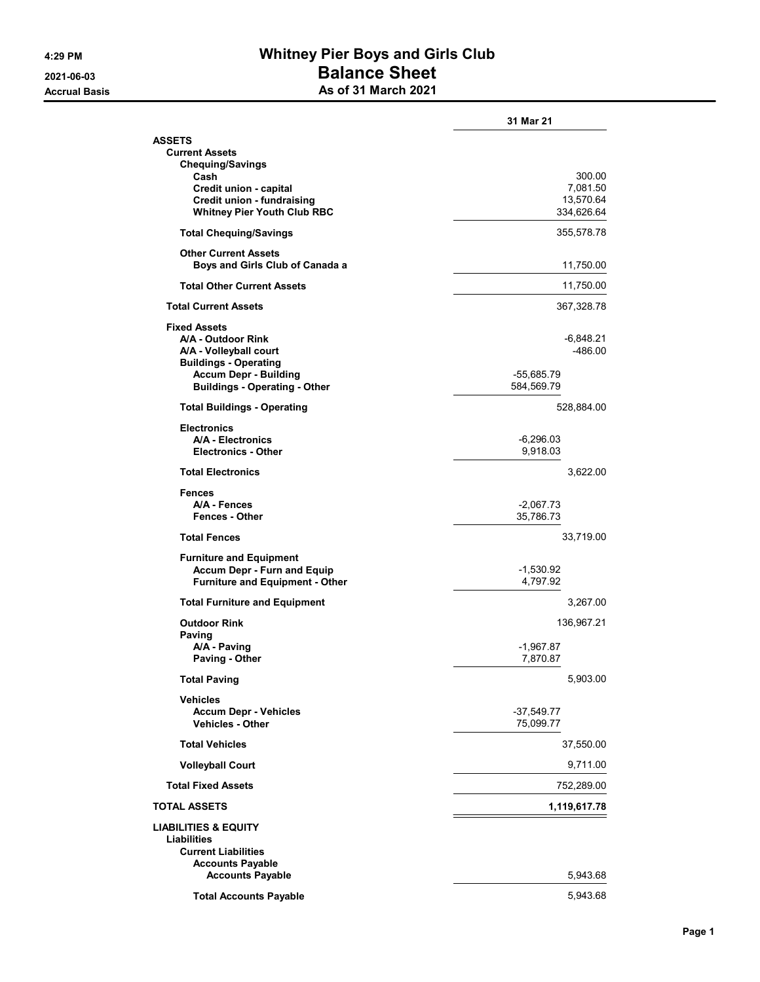## 4:29 PM Whitney Pier Boys and Girls Club 2021-06-03 Balance Sheet Accrual Basis **As of 31 March 2021**

|                                                                      | 31 Mar 21                |
|----------------------------------------------------------------------|--------------------------|
| ASSETS                                                               |                          |
| <b>Current Assets</b><br><b>Chequing/Savings</b>                     |                          |
| Cash                                                                 | 300.00                   |
| Credit union - capital                                               | 7,081.50                 |
| Credit union - fundraising<br><b>Whitney Pier Youth Club RBC</b>     | 13,570.64<br>334,626.64  |
| <b>Total Chequing/Savings</b>                                        | 355,578.78               |
| <b>Other Current Assets</b><br>Boys and Girls Club of Canada a       | 11,750.00                |
|                                                                      |                          |
| <b>Total Other Current Assets</b>                                    | 11,750.00                |
| <b>Total Current Assets</b>                                          | 367,328.78               |
| <b>Fixed Assets</b>                                                  |                          |
| A/A - Outdoor Rink<br>A/A - Volleyball court                         | -6,848.21<br>$-486.00$   |
| <b>Buildings - Operating</b>                                         |                          |
| <b>Accum Depr - Building</b><br><b>Buildings - Operating - Other</b> | -55,685.79<br>584,569.79 |
| <b>Total Buildings - Operating</b>                                   | 528,884.00               |
|                                                                      |                          |
| <b>Electronics</b><br>A/A - Electronics                              | $-6,296.03$              |
| <b>Electronics - Other</b>                                           | 9,918.03                 |
| <b>Total Electronics</b>                                             | 3,622.00                 |
| <b>Fences</b>                                                        |                          |
| A/A - Fences<br><b>Fences - Other</b>                                | $-2,067.73$<br>35,786.73 |
| <b>Total Fences</b>                                                  | 33,719.00                |
| <b>Furniture and Equipment</b>                                       |                          |
| <b>Accum Depr - Furn and Equip</b>                                   | $-1,530.92$              |
| <b>Furniture and Equipment - Other</b>                               | 4,797.92                 |
| <b>Total Furniture and Equipment</b>                                 | 3,267.00                 |
| <b>Outdoor Rink</b>                                                  | 136,967.21               |
| <b>Paving</b><br>A/A - Paving                                        | $-1,967.87$              |
| Paving - Other                                                       | 7,870.87                 |
| <b>Total Paving</b>                                                  | 5,903.00                 |
| <b>Vehicles</b>                                                      |                          |
| <b>Accum Depr - Vehicles</b><br><b>Vehicles - Other</b>              | -37,549.77<br>75,099.77  |
| <b>Total Vehicles</b>                                                | 37,550.00                |
| <b>Volleyball Court</b>                                              | 9,711.00                 |
| <b>Total Fixed Assets</b>                                            | 752,289.00               |
| TOTAL ASSETS                                                         | 1,119,617.78             |
| LIABILITIES & EQUITY                                                 |                          |
| Liabilities                                                          |                          |
| <b>Current Liabilities</b><br><b>Accounts Payable</b>                |                          |
| <b>Accounts Payable</b>                                              | 5,943.68                 |
| <b>Total Accounts Payable</b>                                        | 5,943.68                 |